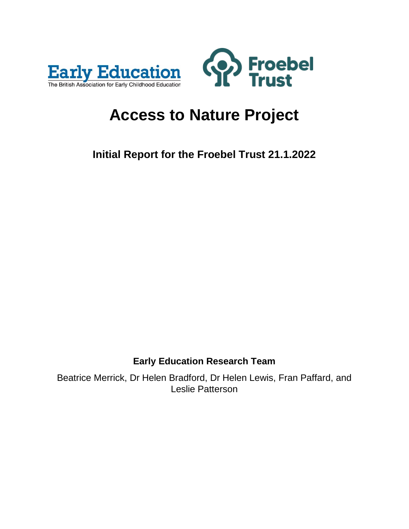



# **Access to Nature Project**

**Initial Report for the Froebel Trust 21.1.2022**

# **Early Education Research Team**

Beatrice Merrick, Dr Helen Bradford, Dr Helen Lewis, Fran Paffard, and Leslie Patterson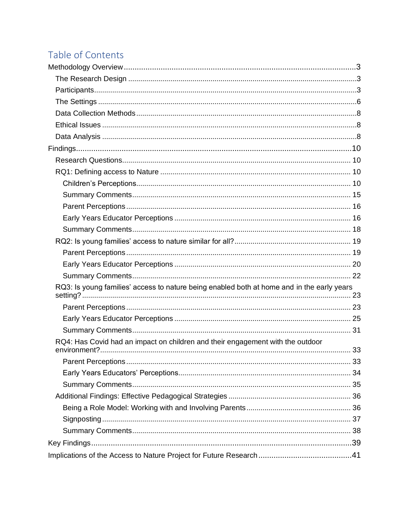# Table of Contents

| RQ3: Is young families' access to nature being enabled both at home and in the early years |  |
|--------------------------------------------------------------------------------------------|--|
|                                                                                            |  |
|                                                                                            |  |
|                                                                                            |  |
| RQ4: Has Covid had an impact on children and their engagement with the outdoor             |  |
| 33                                                                                         |  |
|                                                                                            |  |
|                                                                                            |  |
|                                                                                            |  |
|                                                                                            |  |
|                                                                                            |  |
|                                                                                            |  |
|                                                                                            |  |
|                                                                                            |  |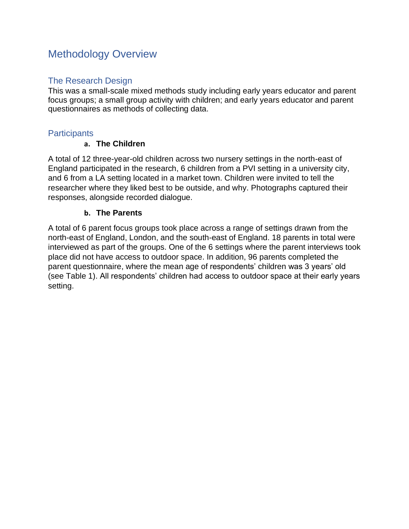# <span id="page-2-0"></span>Methodology Overview

# <span id="page-2-1"></span>The Research Design

This was a small-scale mixed methods study including early years educator and parent focus groups; a small group activity with children; and early years educator and parent questionnaires as methods of collecting data.

# <span id="page-2-2"></span>**Participants**

# **a. The Children**

A total of 12 three-year-old children across two nursery settings in the north-east of England participated in the research, 6 children from a PVI setting in a university city, and 6 from a LA setting located in a market town. Children were invited to tell the researcher where they liked best to be outside, and why. Photographs captured their responses, alongside recorded dialogue.

# **b. The Parents**

A total of 6 parent focus groups took place across a range of settings drawn from the north-east of England, London, and the south-east of England. 18 parents in total were interviewed as part of the groups. One of the 6 settings where the parent interviews took place did not have access to outdoor space. In addition, 96 parents completed the parent questionnaire, where the mean age of respondents' children was 3 years' old (see Table 1). All respondents' children had access to outdoor space at their early years setting.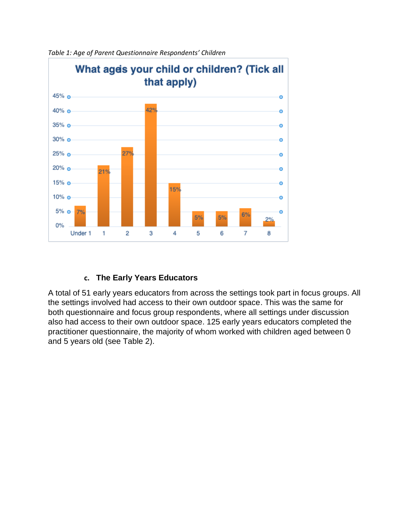

*Table 1: Age of Parent Questionnaire Respondents' Children* 

# **c. The Early Years Educators**

A total of 51 early years educators from across the settings took part in focus groups. All the settings involved had access to their own outdoor space. This was the same for both questionnaire and focus group respondents, where all settings under discussion also had access to their own outdoor space. 125 early years educators completed the practitioner questionnaire, the majority of whom worked with children aged between 0 and 5 years old (see Table 2).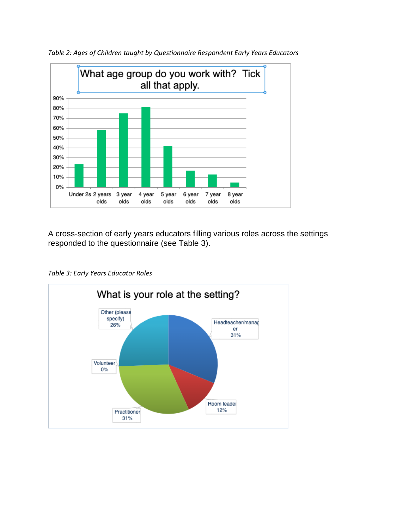

*Table 2: Ages of Children taught by Questionnaire Respondent Early Years Educators*

A cross-section of early years educators filling various roles across the settings responded to the questionnaire (see Table 3).



*Table 3: Early Years Educator Roles*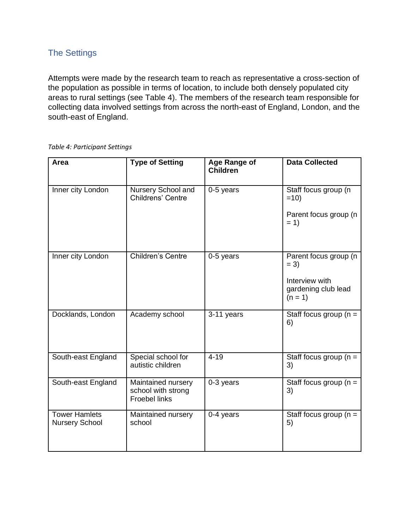# <span id="page-5-0"></span>The Settings

Attempts were made by the research team to reach as representative a cross-section of the population as possible in terms of location, to include both densely populated city areas to rural settings (see Table 4). The members of the research team responsible for collecting data involved settings from across the north-east of England, London, and the south-east of England.

#### *Table 4: Participant Settings*

| Area                                          | <b>Type of Setting</b>                                           | Age Range of<br><b>Children</b> | <b>Data Collected</b>                                                                 |
|-----------------------------------------------|------------------------------------------------------------------|---------------------------------|---------------------------------------------------------------------------------------|
| Inner city London                             | Nursery School and<br>Childrens' Centre                          | 0-5 years                       | Staff focus group (n<br>$=10$<br>Parent focus group (n<br>$= 1$                       |
| Inner city London                             | <b>Children's Centre</b>                                         | 0-5 years                       | Parent focus group (n<br>$= 3)$<br>Interview with<br>gardening club lead<br>$(n = 1)$ |
| Docklands, London                             | Academy school                                                   | 3-11 years                      | Staff focus group ( $n =$<br>6)                                                       |
| South-east England                            | Special school for<br>autistic children                          | $4 - 19$                        | Staff focus group ( $n =$<br>3)                                                       |
| South-east England                            | Maintained nursery<br>school with strong<br><b>Froebel links</b> | $\overline{0}$ -3 years         | Staff focus group ( $n =$<br>3)                                                       |
| <b>Tower Hamlets</b><br><b>Nursery School</b> | Maintained nursery<br>school                                     | 0-4 years                       | Staff focus group ( $n =$<br>5)                                                       |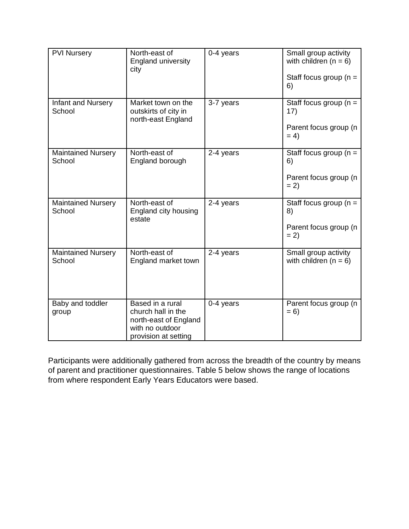| <b>PVI Nursery</b>                  | North-east of<br><b>England university</b><br>city                                                         | 0-4 years | Small group activity<br>with children $(n = 6)$<br>Staff focus group ( $n =$<br>6) |
|-------------------------------------|------------------------------------------------------------------------------------------------------------|-----------|------------------------------------------------------------------------------------|
| Infant and Nursery<br>School        | Market town on the<br>outskirts of city in<br>north-east England                                           | 3-7 years | Staff focus group ( $n =$<br>17)<br>Parent focus group (n<br>$= 4$                 |
| <b>Maintained Nursery</b><br>School | North-east of<br>England borough                                                                           | 2-4 years | Staff focus group ( $n =$<br>6)<br>Parent focus group (n<br>$= 2)$                 |
| <b>Maintained Nursery</b><br>School | North-east of<br>England city housing<br>estate                                                            | 2-4 years | Staff focus group ( $n =$<br>8)<br>Parent focus group (n<br>$= 2)$                 |
| <b>Maintained Nursery</b><br>School | North-east of<br>England market town                                                                       | 2-4 years | Small group activity<br>with children $(n = 6)$                                    |
| Baby and toddler<br>group           | Based in a rural<br>church hall in the<br>north-east of England<br>with no outdoor<br>provision at setting | 0-4 years | Parent focus group (n<br>$= 6$                                                     |

Participants were additionally gathered from across the breadth of the country by means of parent and practitioner questionnaires. Table 5 below shows the range of locations from where respondent Early Years Educators were based.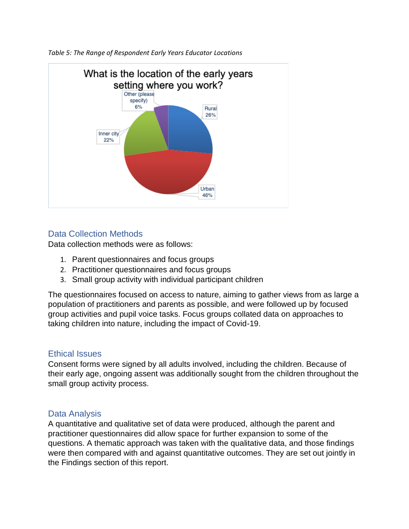

*Table 5: The Range of Respondent Early Years Educator Locations*

# <span id="page-7-0"></span>Data Collection Methods

Data collection methods were as follows:

- 1. Parent questionnaires and focus groups
- 2. Practitioner questionnaires and focus groups
- 3. Small group activity with individual participant children

The questionnaires focused on access to nature, aiming to gather views from as large a population of practitioners and parents as possible, and were followed up by focused group activities and pupil voice tasks. Focus groups collated data on approaches to taking children into nature, including the impact of Covid-19.

# <span id="page-7-1"></span>Ethical Issues

Consent forms were signed by all adults involved, including the children. Because of their early age, ongoing assent was additionally sought from the children throughout the small group activity process.

# <span id="page-7-2"></span>Data Analysis

A quantitative and qualitative set of data were produced, although the parent and practitioner questionnaires did allow space for further expansion to some of the questions. A thematic approach was taken with the qualitative data, and those findings were then compared with and against quantitative outcomes. They are set out jointly in the Findings section of this report.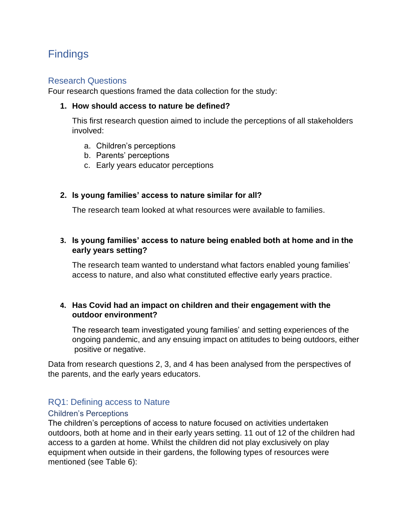# <span id="page-9-0"></span>**Findings**

#### <span id="page-9-1"></span>Research Questions

Four research questions framed the data collection for the study:

#### **1. How should access to nature be defined?**

This first research question aimed to include the perceptions of all stakeholders involved:

- a. Children's perceptions
- b. Parents' perceptions
- c. Early years educator perceptions

#### **2. Is young families' access to nature similar for all?**

The research team looked at what resources were available to families.

# **3. Is young families' access to nature being enabled both at home and in the early years setting?**

The research team wanted to understand what factors enabled young families' access to nature, and also what constituted effective early years practice.

#### **4. Has Covid had an impact on children and their engagement with the outdoor environment?**

The research team investigated young families' and setting experiences of the ongoing pandemic, and any ensuing impact on attitudes to being outdoors, either positive or negative.

Data from research questions 2, 3, and 4 has been analysed from the perspectives of the parents, and the early years educators.

# <span id="page-9-2"></span>RQ1: Defining access to Nature

#### <span id="page-9-3"></span>Children's Perceptions

The children's perceptions of access to nature focused on activities undertaken outdoors, both at home and in their early years setting. 11 out of 12 of the children had access to a garden at home. Whilst the children did not play exclusively on play equipment when outside in their gardens, the following types of resources were mentioned (see Table 6):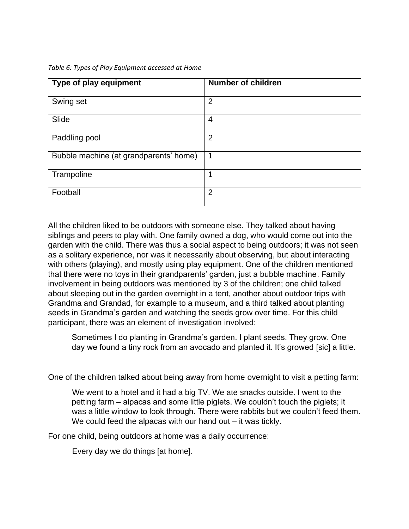*Table 6: Types of Play Equipment accessed at Home*

| Type of play equipment                 | <b>Number of children</b> |
|----------------------------------------|---------------------------|
| Swing set                              | $\overline{2}$            |
| Slide                                  | 4                         |
| Paddling pool                          | $\overline{2}$            |
| Bubble machine (at grandparents' home) | 1                         |
| Trampoline                             |                           |
| Football                               | $\overline{2}$            |

All the children liked to be outdoors with someone else. They talked about having siblings and peers to play with. One family owned a dog, who would come out into the garden with the child. There was thus a social aspect to being outdoors; it was not seen as a solitary experience, nor was it necessarily about observing, but about interacting with others (playing), and mostly using play equipment. One of the children mentioned that there were no toys in their grandparents' garden, just a bubble machine. Family involvement in being outdoors was mentioned by 3 of the children; one child talked about sleeping out in the garden overnight in a tent, another about outdoor trips with Grandma and Grandad, for example to a museum, and a third talked about planting seeds in Grandma's garden and watching the seeds grow over time. For this child participant, there was an element of investigation involved:

Sometimes I do planting in Grandma's garden. I plant seeds. They grow. One day we found a tiny rock from an avocado and planted it. It's growed [sic] a little.

One of the children talked about being away from home overnight to visit a petting farm:

We went to a hotel and it had a big TV. We ate snacks outside. I went to the petting farm – alpacas and some little piglets. We couldn't touch the piglets; it was a little window to look through. There were rabbits but we couldn't feed them. We could feed the alpacas with our hand out – it was tickly.

For one child, being outdoors at home was a daily occurrence:

Every day we do things [at home].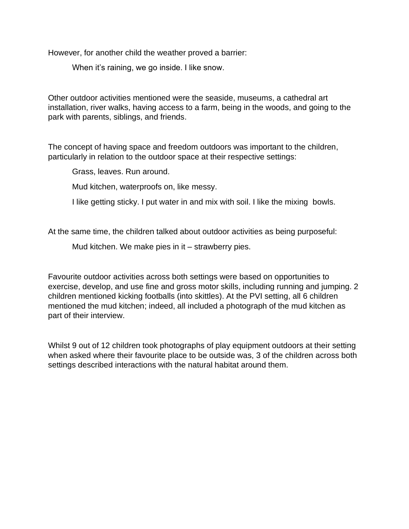However, for another child the weather proved a barrier:

When it's raining, we go inside. I like snow.

Other outdoor activities mentioned were the seaside, museums, a cathedral art installation, river walks, having access to a farm, being in the woods, and going to the park with parents, siblings, and friends.

The concept of having space and freedom outdoors was important to the children, particularly in relation to the outdoor space at their respective settings:

Grass, leaves. Run around.

Mud kitchen, waterproofs on, like messy.

I like getting sticky. I put water in and mix with soil. I like the mixing bowls.

At the same time, the children talked about outdoor activities as being purposeful:

Mud kitchen. We make pies in it – strawberry pies.

Favourite outdoor activities across both settings were based on opportunities to exercise, develop, and use fine and gross motor skills, including running and jumping. 2 children mentioned kicking footballs (into skittles). At the PVI setting, all 6 children mentioned the mud kitchen; indeed, all included a photograph of the mud kitchen as part of their interview.

Whilst 9 out of 12 children took photographs of play equipment outdoors at their setting when asked where their favourite place to be outside was, 3 of the children across both settings described interactions with the natural habitat around them.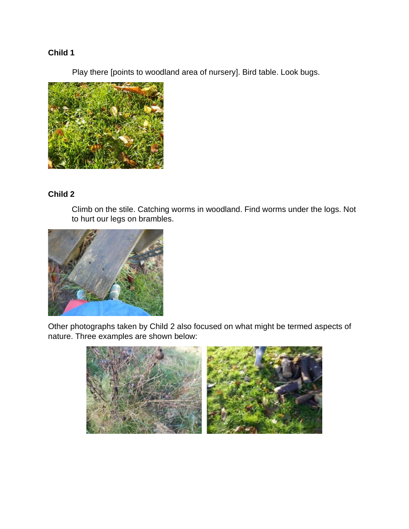# **Child 1**

Play there [points to woodland area of nursery]. Bird table. Look bugs.



# **Child 2**

Climb on the stile. Catching worms in woodland. Find worms under the logs. Not to hurt our legs on brambles.



Other photographs taken by Child 2 also focused on what might be termed aspects of nature. Three examples are shown below:

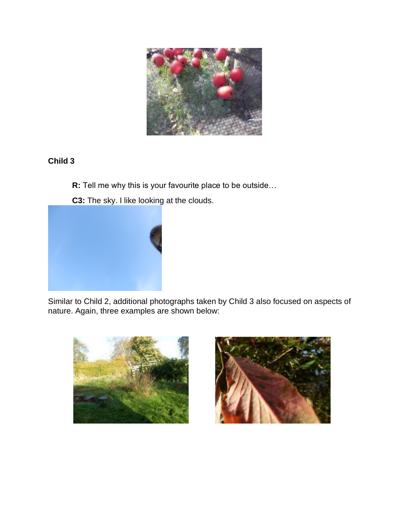

# **Child 3**

- **R:** Tell me why this is your favourite place to be outside…
- **C3:** The sky. I like looking at the clouds.



Similar to Child 2, additional photographs taken by Child 3 also focused on aspects of nature. Again, three examples are shown below:



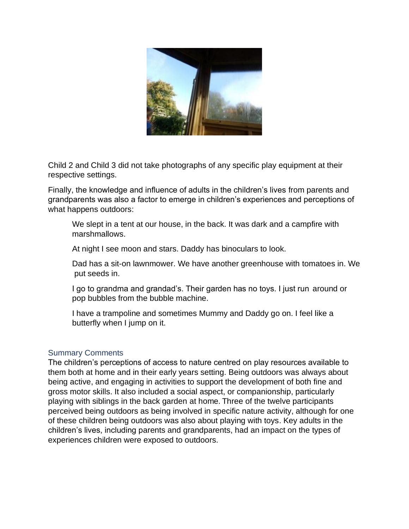

Child 2 and Child 3 did not take photographs of any specific play equipment at their respective settings.

Finally, the knowledge and influence of adults in the children's lives from parents and grandparents was also a factor to emerge in children's experiences and perceptions of what happens outdoors:

We slept in a tent at our house, in the back. It was dark and a campfire with marshmallows.

At night I see moon and stars. Daddy has binoculars to look.

Dad has a sit-on lawnmower. We have another greenhouse with tomatoes in. We put seeds in.

I go to grandma and grandad's. Their garden has no toys. I just run around or pop bubbles from the bubble machine.

I have a trampoline and sometimes Mummy and Daddy go on. I feel like a butterfly when I jump on it.

#### <span id="page-14-0"></span>Summary Comments

The children's perceptions of access to nature centred on play resources available to them both at home and in their early years setting. Being outdoors was always about being active, and engaging in activities to support the development of both fine and gross motor skills. It also included a social aspect, or companionship, particularly playing with siblings in the back garden at home. Three of the twelve participants perceived being outdoors as being involved in specific nature activity, although for one of these children being outdoors was also about playing with toys. Key adults in the children's lives, including parents and grandparents, had an impact on the types of experiences children were exposed to outdoors.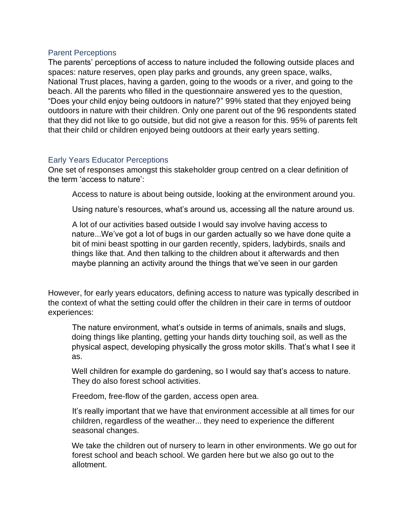#### <span id="page-15-0"></span>Parent Perceptions

The parents' perceptions of access to nature included the following outside places and spaces: nature reserves, open play parks and grounds, any green space, walks, National Trust places, having a garden, going to the woods or a river, and going to the beach. All the parents who filled in the questionnaire answered yes to the question, "Does your child enjoy being outdoors in nature?" 99% stated that they enjoyed being outdoors in nature with their children. Only one parent out of the 96 respondents stated that they did not like to go outside, but did not give a reason for this. 95% of parents felt that their child or children enjoyed being outdoors at their early years setting.

#### <span id="page-15-1"></span>Early Years Educator Perceptions

One set of responses amongst this stakeholder group centred on a clear definition of the term 'access to nature':

Access to nature is about being outside, looking at the environment around you.

Using nature's resources, what's around us, accessing all the nature around us.

A lot of our activities based outside I would say involve having access to nature...We've got a lot of bugs in our garden actually so we have done quite a bit of mini beast spotting in our garden recently, spiders, ladybirds, snails and things like that. And then talking to the children about it afterwards and then maybe planning an activity around the things that we've seen in our garden

However, for early years educators, defining access to nature was typically described in the context of what the setting could offer the children in their care in terms of outdoor experiences:

The nature environment, what's outside in terms of animals, snails and slugs, doing things like planting, getting your hands dirty touching soil, as well as the physical aspect, developing physically the gross motor skills. That's what I see it as.

Well children for example do gardening, so I would say that's access to nature. They do also forest school activities.

Freedom, free-flow of the garden, access open area.

It's really important that we have that environment accessible at all times for our children, regardless of the weather... they need to experience the different seasonal changes.

We take the children out of nursery to learn in other environments. We go out for forest school and beach school. We garden here but we also go out to the allotment.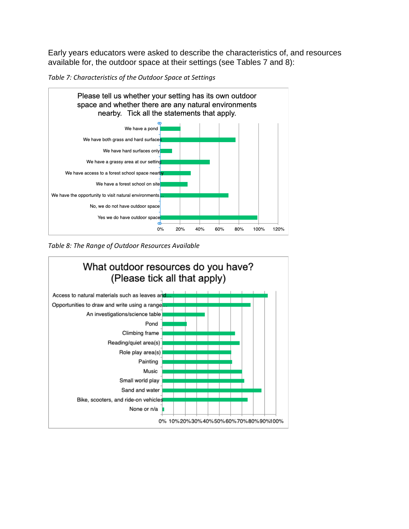Early years educators were asked to describe the characteristics of, and resources available for, the outdoor space at their settings (see Tables 7 and 8):

*Table 7: Characteristics of the Outdoor Space at Settings*



*Table 8: The Range of Outdoor Resources Available*

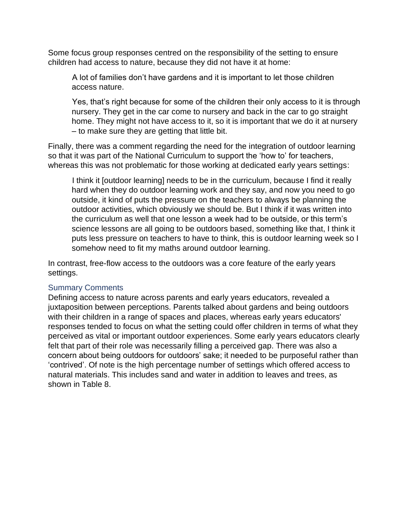Some focus group responses centred on the responsibility of the setting to ensure children had access to nature, because they did not have it at home:

A lot of families don't have gardens and it is important to let those children access nature.

Yes, that's right because for some of the children their only access to it is through nursery. They get in the car come to nursery and back in the car to go straight home. They might not have access to it, so it is important that we do it at nursery – to make sure they are getting that little bit.

Finally, there was a comment regarding the need for the integration of outdoor learning so that it was part of the National Curriculum to support the 'how to' for teachers, whereas this was not problematic for those working at dedicated early years settings:

I think it [outdoor learning] needs to be in the curriculum, because I find it really hard when they do outdoor learning work and they say, and now you need to go outside, it kind of puts the pressure on the teachers to always be planning the outdoor activities, which obviously we should be. But I think if it was written into the curriculum as well that one lesson a week had to be outside, or this term's science lessons are all going to be outdoors based, something like that, I think it puts less pressure on teachers to have to think, this is outdoor learning week so I somehow need to fit my maths around outdoor learning.

In contrast, free-flow access to the outdoors was a core feature of the early years settings.

#### <span id="page-17-0"></span>Summary Comments

Defining access to nature across parents and early years educators, revealed a juxtaposition between perceptions. Parents talked about gardens and being outdoors with their children in a range of spaces and places, whereas early years educators' responses tended to focus on what the setting could offer children in terms of what they perceived as vital or important outdoor experiences. Some early years educators clearly felt that part of their role was necessarily filling a perceived gap. There was also a concern about being outdoors for outdoors' sake; it needed to be purposeful rather than 'contrived'. Of note is the high percentage number of settings which offered access to natural materials. This includes sand and water in addition to leaves and trees, as shown in Table 8.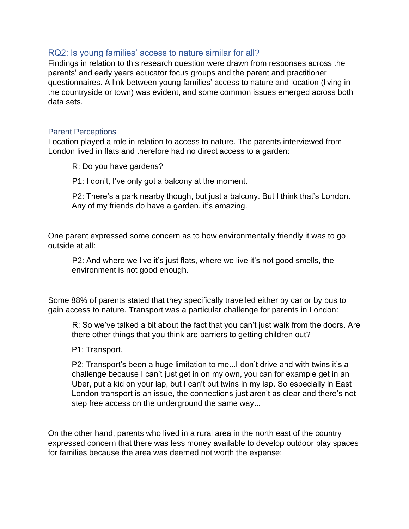#### <span id="page-18-0"></span>RQ2: Is young families' access to nature similar for all?

Findings in relation to this research question were drawn from responses across the parents' and early years educator focus groups and the parent and practitioner questionnaires. A link between young families' access to nature and location (living in the countryside or town) was evident, and some common issues emerged across both data sets.

#### <span id="page-18-1"></span>Parent Perceptions

Location played a role in relation to access to nature. The parents interviewed from London lived in flats and therefore had no direct access to a garden:

R: Do you have gardens?

P1: I don't, I've only got a balcony at the moment.

P2: There's a park nearby though, but just a balcony. But I think that's London. Any of my friends do have a garden, it's amazing.

One parent expressed some concern as to how environmentally friendly it was to go outside at all:

P2: And where we live it's just flats, where we live it's not good smells, the environment is not good enough.

Some 88% of parents stated that they specifically travelled either by car or by bus to gain access to nature. Transport was a particular challenge for parents in London:

R: So we've talked a bit about the fact that you can't just walk from the doors. Are there other things that you think are barriers to getting children out?

P1: Transport.

P2: Transport's been a huge limitation to me...I don't drive and with twins it's a challenge because I can't just get in on my own, you can for example get in an Uber, put a kid on your lap, but I can't put twins in my lap. So especially in East London transport is an issue, the connections just aren't as clear and there's not step free access on the underground the same way...

On the other hand, parents who lived in a rural area in the north east of the country expressed concern that there was less money available to develop outdoor play spaces for families because the area was deemed not worth the expense: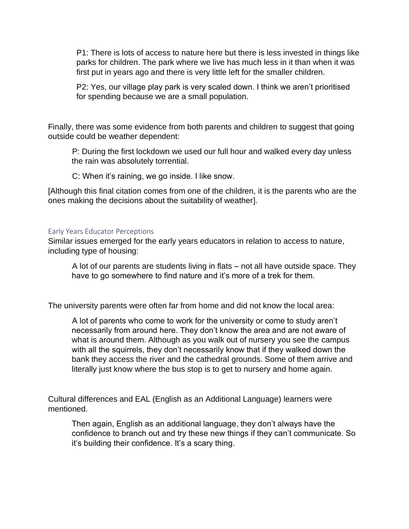P1: There is lots of access to nature here but there is less invested in things like parks for children. The park where we live has much less in it than when it was first put in years ago and there is very little left for the smaller children.

P2: Yes, our village play park is very scaled down. I think we aren't prioritised for spending because we are a small population.

Finally, there was some evidence from both parents and children to suggest that going outside could be weather dependent:

P: During the first lockdown we used our full hour and walked every day unless the rain was absolutely torrential.

C: When it's raining, we go inside. I like snow.

[Although this final citation comes from one of the children, it is the parents who are the ones making the decisions about the suitability of weather].

#### <span id="page-19-0"></span>Early Years Educator Perceptions

Similar issues emerged for the early years educators in relation to access to nature, including type of housing:

A lot of our parents are students living in flats – not all have outside space. They have to go somewhere to find nature and it's more of a trek for them.

The university parents were often far from home and did not know the local area:

A lot of parents who come to work for the university or come to study aren't necessarily from around here. They don't know the area and are not aware of what is around them. Although as you walk out of nursery you see the campus with all the squirrels, they don't necessarily know that if they walked down the bank they access the river and the cathedral grounds. Some of them arrive and literally just know where the bus stop is to get to nursery and home again.

Cultural differences and EAL (English as an Additional Language) learners were mentioned.

Then again, English as an additional language, they don't always have the confidence to branch out and try these new things if they can't communicate. So it's building their confidence. It's a scary thing.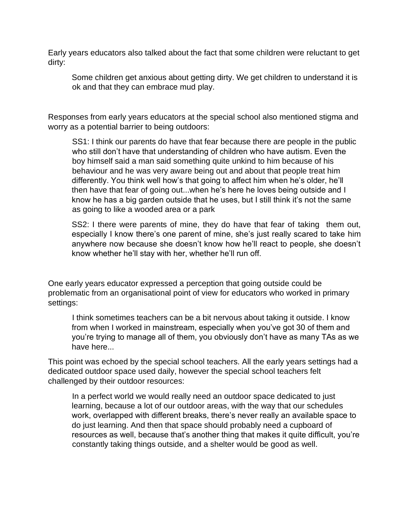Early years educators also talked about the fact that some children were reluctant to get dirty:

Some children get anxious about getting dirty. We get children to understand it is ok and that they can embrace mud play.

Responses from early years educators at the special school also mentioned stigma and worry as a potential barrier to being outdoors:

SS1: I think our parents do have that fear because there are people in the public who still don't have that understanding of children who have autism. Even the boy himself said a man said something quite unkind to him because of his behaviour and he was very aware being out and about that people treat him differently. You think well how's that going to affect him when he's older, he'll then have that fear of going out...when he's here he loves being outside and I know he has a big garden outside that he uses, but I still think it's not the same as going to like a wooded area or a park

SS2: I there were parents of mine, they do have that fear of taking them out, especially I know there's one parent of mine, she's just really scared to take him anywhere now because she doesn't know how he'll react to people, she doesn't know whether he'll stay with her, whether he'll run off.

One early years educator expressed a perception that going outside could be problematic from an organisational point of view for educators who worked in primary settings:

I think sometimes teachers can be a bit nervous about taking it outside. I know from when I worked in mainstream, especially when you've got 30 of them and you're trying to manage all of them, you obviously don't have as many TAs as we have here...

This point was echoed by the special school teachers. All the early years settings had a dedicated outdoor space used daily, however the special school teachers felt challenged by their outdoor resources:

In a perfect world we would really need an outdoor space dedicated to just learning, because a lot of our outdoor areas, with the way that our schedules work, overlapped with different breaks, there's never really an available space to do just learning. And then that space should probably need a cupboard of resources as well, because that's another thing that makes it quite difficult, you're constantly taking things outside, and a shelter would be good as well.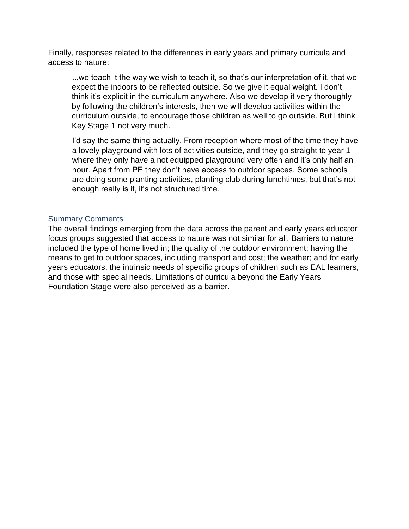Finally, responses related to the differences in early years and primary curricula and access to nature:

...we teach it the way we wish to teach it, so that's our interpretation of it, that we expect the indoors to be reflected outside. So we give it equal weight. I don't think it's explicit in the curriculum anywhere. Also we develop it very thoroughly by following the children's interests, then we will develop activities within the curriculum outside, to encourage those children as well to go outside. But I think Key Stage 1 not very much.

I'd say the same thing actually. From reception where most of the time they have a lovely playground with lots of activities outside, and they go straight to year 1 where they only have a not equipped playground very often and it's only half an hour. Apart from PE they don't have access to outdoor spaces. Some schools are doing some planting activities, planting club during lunchtimes, but that's not enough really is it, it's not structured time.

#### <span id="page-21-0"></span>Summary Comments

The overall findings emerging from the data across the parent and early years educator focus groups suggested that access to nature was not similar for all. Barriers to nature included the type of home lived in; the quality of the outdoor environment; having the means to get to outdoor spaces, including transport and cost; the weather; and for early years educators, the intrinsic needs of specific groups of children such as EAL learners, and those with special needs. Limitations of curricula beyond the Early Years Foundation Stage were also perceived as a barrier.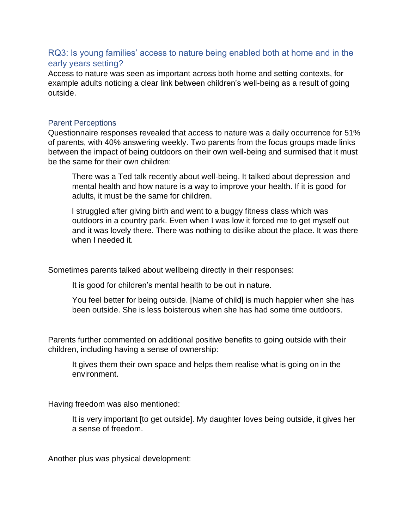# <span id="page-22-0"></span>RQ3: Is young families' access to nature being enabled both at home and in the early years setting?

Access to nature was seen as important across both home and setting contexts, for example adults noticing a clear link between children's well-being as a result of going outside.

#### <span id="page-22-1"></span>Parent Perceptions

Questionnaire responses revealed that access to nature was a daily occurrence for 51% of parents, with 40% answering weekly. Two parents from the focus groups made links between the impact of being outdoors on their own well-being and surmised that it must be the same for their own children:

There was a Ted talk recently about well-being. It talked about depression and mental health and how nature is a way to improve your health. If it is good for adults, it must be the same for children.

I struggled after giving birth and went to a buggy fitness class which was outdoors in a country park. Even when I was low it forced me to get myself out and it was lovely there. There was nothing to dislike about the place. It was there when I needed it.

Sometimes parents talked about wellbeing directly in their responses:

It is good for children's mental health to be out in nature.

You feel better for being outside. [Name of child] is much happier when she has been outside. She is less boisterous when she has had some time outdoors.

Parents further commented on additional positive benefits to going outside with their children, including having a sense of ownership:

It gives them their own space and helps them realise what is going on in the environment.

Having freedom was also mentioned:

It is very important [to get outside]. My daughter loves being outside, it gives her a sense of freedom.

Another plus was physical development: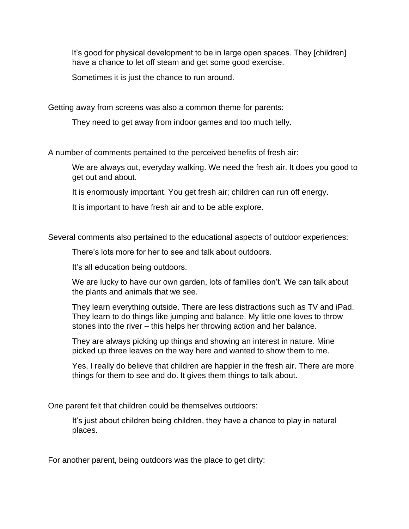It's good for physical development to be in large open spaces. They [children] have a chance to let off steam and get some good exercise.

Sometimes it is just the chance to run around.

Getting away from screens was also a common theme for parents:

They need to get away from indoor games and too much telly.

A number of comments pertained to the perceived benefits of fresh air:

We are always out, everyday walking. We need the fresh air. It does you good to get out and about.

It is enormously important. You get fresh air; children can run off energy.

It is important to have fresh air and to be able explore.

Several comments also pertained to the educational aspects of outdoor experiences:

There's lots more for her to see and talk about outdoors.

It's all education being outdoors.

We are lucky to have our own garden, lots of families don't. We can talk about the plants and animals that we see.

They learn everything outside. There are less distractions such as TV and iPad. They learn to do things like jumping and balance. My little one loves to throw stones into the river – this helps her throwing action and her balance.

They are always picking up things and showing an interest in nature. Mine picked up three leaves on the way here and wanted to show them to me.

Yes, I really do believe that children are happier in the fresh air. There are more things for them to see and do. It gives them things to talk about.

One parent felt that children could be themselves outdoors:

It's just about children being children, they have a chance to play in natural places.

For another parent, being outdoors was the place to get dirty: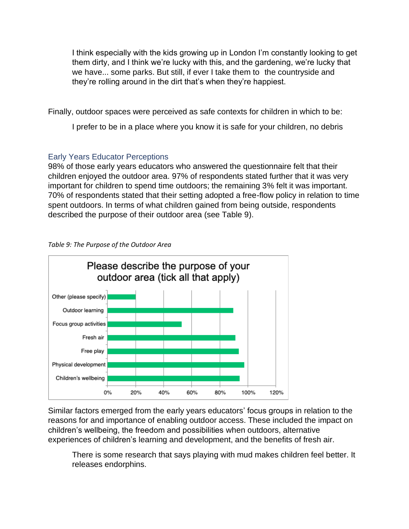I think especially with the kids growing up in London I'm constantly looking to get them dirty, and I think we're lucky with this, and the gardening, we're lucky that we have... some parks. But still, if ever I take them to the countryside and they're rolling around in the dirt that's when they're happiest.

Finally, outdoor spaces were perceived as safe contexts for children in which to be:

I prefer to be in a place where you know it is safe for your children, no debris

# <span id="page-24-0"></span>Early Years Educator Perceptions

98% of those early years educators who answered the questionnaire felt that their children enjoyed the outdoor area. 97% of respondents stated further that it was very important for children to spend time outdoors; the remaining 3% felt it was important. 70% of respondents stated that their setting adopted a free-flow policy in relation to time spent outdoors. In terms of what children gained from being outside, respondents described the purpose of their outdoor area (see Table 9).



#### *Table 9: The Purpose of the Outdoor Area*

Similar factors emerged from the early years educators' focus groups in relation to the reasons for and importance of enabling outdoor access. These included the impact on children's wellbeing, the freedom and possibilities when outdoors, alternative experiences of children's learning and development, and the benefits of fresh air.

There is some research that says playing with mud makes children feel better. It releases endorphins.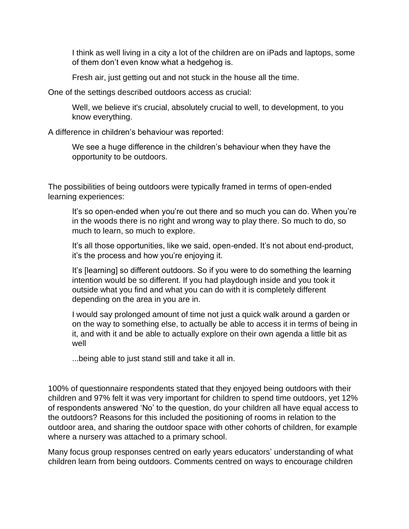I think as well living in a city a lot of the children are on iPads and laptops, some of them don't even know what a hedgehog is.

Fresh air, just getting out and not stuck in the house all the time.

One of the settings described outdoors access as crucial:

Well, we believe it's crucial, absolutely crucial to well, to development, to you know everything.

A difference in children's behaviour was reported:

We see a huge difference in the children's behaviour when they have the opportunity to be outdoors.

The possibilities of being outdoors were typically framed in terms of open-ended learning experiences:

It's so open-ended when you're out there and so much you can do. When you're in the woods there is no right and wrong way to play there. So much to do, so much to learn, so much to explore.

It's all those opportunities, like we said, open-ended. It's not about end-product, it's the process and how you're enjoying it.

It's [learning] so different outdoors. So if you were to do something the learning intention would be so different. If you had playdough inside and you took it outside what you find and what you can do with it is completely different depending on the area in you are in.

I would say prolonged amount of time not just a quick walk around a garden or on the way to something else, to actually be able to access it in terms of being in it, and with it and be able to actually explore on their own agenda a little bit as well

...being able to just stand still and take it all in.

100% of questionnaire respondents stated that they enjoyed being outdoors with their children and 97% felt it was very important for children to spend time outdoors, yet 12% of respondents answered 'No' to the question, do your children all have equal access to the outdoors? Reasons for this included the positioning of rooms in relation to the outdoor area, and sharing the outdoor space with other cohorts of children, for example where a nursery was attached to a primary school.

Many focus group responses centred on early years educators' understanding of what children learn from being outdoors. Comments centred on ways to encourage children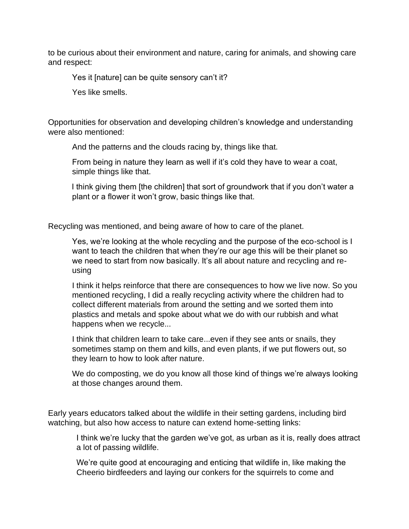to be curious about their environment and nature, caring for animals, and showing care and respect:

Yes it [nature] can be quite sensory can't it?

Yes like smells.

Opportunities for observation and developing children's knowledge and understanding were also mentioned:

And the patterns and the clouds racing by, things like that.

From being in nature they learn as well if it's cold they have to wear a coat, simple things like that.

I think giving them [the children] that sort of groundwork that if you don't water a plant or a flower it won't grow, basic things like that.

Recycling was mentioned, and being aware of how to care of the planet.

Yes, we're looking at the whole recycling and the purpose of the eco-school is I want to teach the children that when they're our age this will be their planet so we need to start from now basically. It's all about nature and recycling and reusing

I think it helps reinforce that there are consequences to how we live now. So you mentioned recycling, I did a really recycling activity where the children had to collect different materials from around the setting and we sorted them into plastics and metals and spoke about what we do with our rubbish and what happens when we recycle...

I think that children learn to take care...even if they see ants or snails, they sometimes stamp on them and kills, and even plants, if we put flowers out, so they learn to how to look after nature.

We do composting, we do you know all those kind of things we're always looking at those changes around them.

Early years educators talked about the wildlife in their setting gardens, including bird watching, but also how access to nature can extend home-setting links:

I think we're lucky that the garden we've got, as urban as it is, really does attract a lot of passing wildlife.

We're quite good at encouraging and enticing that wildlife in, like making the Cheerio birdfeeders and laying our conkers for the squirrels to come and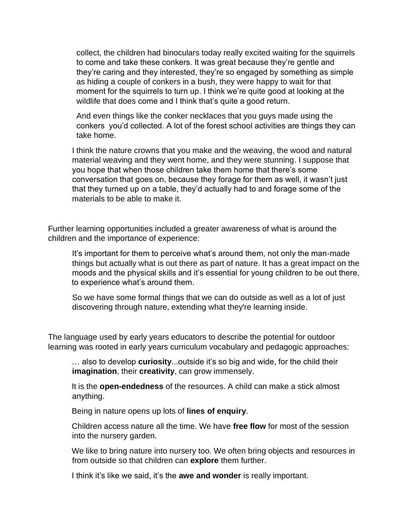collect, the children had binoculars today really excited waiting for the squirrels to come and take these conkers. It was great because they're gentle and they're caring and they interested, they're so engaged by something as simple as hiding a couple of conkers in a bush, they were happy to wait for that moment for the squirrels to turn up. I think we're quite good at looking at the wildlife that does come and I think that's quite a good return.

And even things like the conker necklaces that you guys made using the conkers you'd collected. A lot of the forest school activities are things they can take home.

I think the nature crowns that you make and the weaving, the wood and natural material weaving and they went home, and they were stunning. I suppose that you hope that when those children take them home that there's some conversation that goes on, because they forage for them as well, it wasn't just that they turned up on a table, they'd actually had to and forage some of the materials to be able to make it.

Further learning opportunities included a greater awareness of what is around the children and the importance of experience:

It's important for them to perceive what's around them, not only the man-made things but actually what is out there as part of nature. It has a great impact on the moods and the physical skills and it's essential for young children to be out there, to experience what's around them.

So we have some formal things that we can do outside as well as a lot of just discovering through nature, extending what they're learning inside.

The language used by early years educators to describe the potential for outdoor learning was rooted in early years curriculum vocabulary and pedagogic approaches:

… also to develop **curiosity**...outside it's so big and wide, for the child their **imagination**, their **creativity**, can grow immensely.

It is the **open-endedness** of the resources. A child can make a stick almost anything.

Being in nature opens up lots of **lines of enquiry**.

Children access nature all the time. We have **free flow** for most of the session into the nursery garden.

We like to bring nature into nursery too. We often bring objects and resources in from outside so that children can **explore** them further.

I think it's like we said, it's the **awe and wonder** is really important.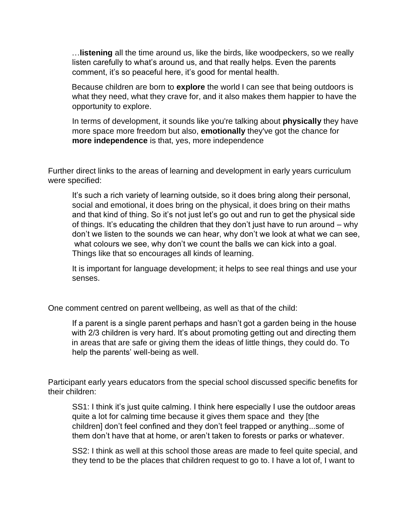…**listening** all the time around us, like the birds, like woodpeckers, so we really listen carefully to what's around us, and that really helps. Even the parents comment, it's so peaceful here, it's good for mental health.

Because children are born to **explore** the world I can see that being outdoors is what they need, what they crave for, and it also makes them happier to have the opportunity to explore.

In terms of development, it sounds like you're talking about **physically** they have more space more freedom but also, **emotionally** they've got the chance for **more independence** is that, yes, more independence

Further direct links to the areas of learning and development in early years curriculum were specified:

It's such a rich variety of learning outside, so it does bring along their personal, social and emotional, it does bring on the physical, it does bring on their maths and that kind of thing. So it's not just let's go out and run to get the physical side of things. It's educating the children that they don't just have to run around – why don't we listen to the sounds we can hear, why don't we look at what we can see, what colours we see, why don't we count the balls we can kick into a goal. Things like that so encourages all kinds of learning.

It is important for language development; it helps to see real things and use your senses.

One comment centred on parent wellbeing, as well as that of the child:

If a parent is a single parent perhaps and hasn't got a garden being in the house with 2/3 children is very hard. It's about promoting getting out and directing them in areas that are safe or giving them the ideas of little things, they could do. To help the parents' well-being as well.

Participant early years educators from the special school discussed specific benefits for their children:

SS1: I think it's just quite calming. I think here especially I use the outdoor areas quite a lot for calming time because it gives them space and they [the children] don't feel confined and they don't feel trapped or anything...some of them don't have that at home, or aren't taken to forests or parks or whatever.

SS2: I think as well at this school those areas are made to feel quite special, and they tend to be the places that children request to go to. I have a lot of, I want to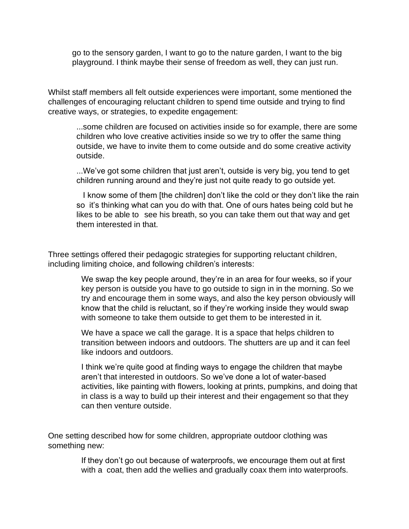go to the sensory garden, I want to go to the nature garden, I want to the big playground. I think maybe their sense of freedom as well, they can just run.

Whilst staff members all felt outside experiences were important, some mentioned the challenges of encouraging reluctant children to spend time outside and trying to find creative ways, or strategies, to expedite engagement:

...some children are focused on activities inside so for example, there are some children who love creative activities inside so we try to offer the same thing outside, we have to invite them to come outside and do some creative activity outside.

...We've got some children that just aren't, outside is very big, you tend to get children running around and they're just not quite ready to go outside yet.

 I know some of them [the children] don't like the cold or they don't like the rain so it's thinking what can you do with that. One of ours hates being cold but he likes to be able to see his breath, so you can take them out that way and get them interested in that.

Three settings offered their pedagogic strategies for supporting reluctant children, including limiting choice, and following children's interests:

> We swap the key people around, they're in an area for four weeks, so if your key person is outside you have to go outside to sign in in the morning. So we try and encourage them in some ways, and also the key person obviously will know that the child is reluctant, so if they're working inside they would swap with someone to take them outside to get them to be interested in it.

We have a space we call the garage. It is a space that helps children to transition between indoors and outdoors. The shutters are up and it can feel like indoors and outdoors.

I think we're quite good at finding ways to engage the children that maybe aren't that interested in outdoors. So we've done a lot of water-based activities, like painting with flowers, looking at prints, pumpkins, and doing that in class is a way to build up their interest and their engagement so that they can then venture outside.

One setting described how for some children, appropriate outdoor clothing was something new:

> If they don't go out because of waterproofs, we encourage them out at first with a coat, then add the wellies and gradually coax them into waterproofs.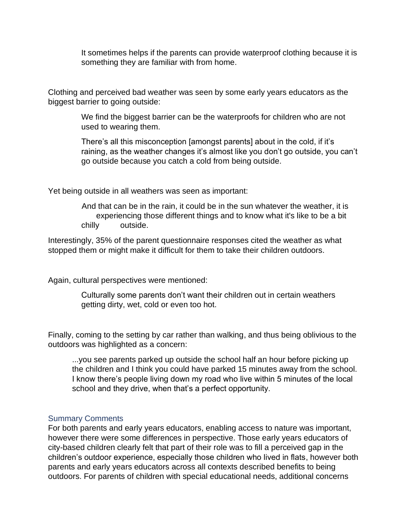It sometimes helps if the parents can provide waterproof clothing because it is something they are familiar with from home.

Clothing and perceived bad weather was seen by some early years educators as the biggest barrier to going outside:

> We find the biggest barrier can be the waterproofs for children who are not used to wearing them.

There's all this misconception [amongst parents] about in the cold, if it's raining, as the weather changes it's almost like you don't go outside, you can't go outside because you catch a cold from being outside.

Yet being outside in all weathers was seen as important:

And that can be in the rain, it could be in the sun whatever the weather, it is experiencing those different things and to know what it's like to be a bit chilly outside.

Interestingly, 35% of the parent questionnaire responses cited the weather as what stopped them or might make it difficult for them to take their children outdoors.

Again, cultural perspectives were mentioned:

Culturally some parents don't want their children out in certain weathers getting dirty, wet, cold or even too hot.

Finally, coming to the setting by car rather than walking, and thus being oblivious to the outdoors was highlighted as a concern:

...you see parents parked up outside the school half an hour before picking up the children and I think you could have parked 15 minutes away from the school. I know there's people living down my road who live within 5 minutes of the local school and they drive, when that's a perfect opportunity.

#### <span id="page-30-0"></span>Summary Comments

For both parents and early years educators, enabling access to nature was important, however there were some differences in perspective. Those early years educators of city-based children clearly felt that part of their role was to fill a perceived gap in the children's outdoor experience, especially those children who lived in flats, however both parents and early years educators across all contexts described benefits to being outdoors. For parents of children with special educational needs, additional concerns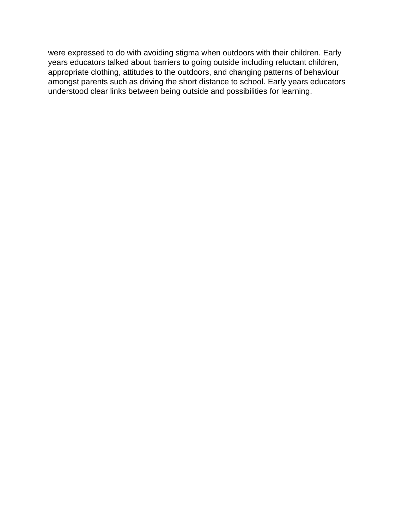were expressed to do with avoiding stigma when outdoors with their children. Early years educators talked about barriers to going outside including reluctant children, appropriate clothing, attitudes to the outdoors, and changing patterns of behaviour amongst parents such as driving the short distance to school. Early years educators understood clear links between being outside and possibilities for learning.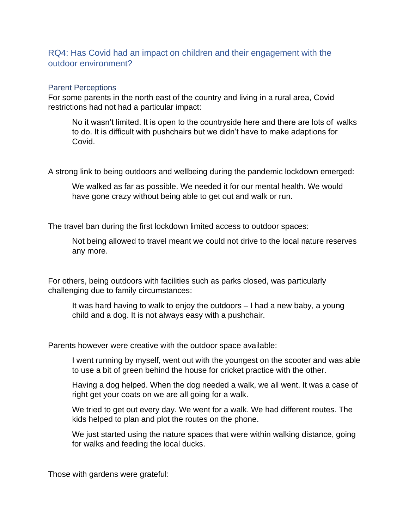# <span id="page-32-0"></span>RQ4: Has Covid had an impact on children and their engagement with the outdoor environment?

#### <span id="page-32-1"></span>Parent Perceptions

For some parents in the north east of the country and living in a rural area, Covid restrictions had not had a particular impact:

No it wasn't limited. It is open to the countryside here and there are lots of walks to do. It is difficult with pushchairs but we didn't have to make adaptions for Covid.

A strong link to being outdoors and wellbeing during the pandemic lockdown emerged:

We walked as far as possible. We needed it for our mental health. We would have gone crazy without being able to get out and walk or run.

The travel ban during the first lockdown limited access to outdoor spaces:

Not being allowed to travel meant we could not drive to the local nature reserves any more.

For others, being outdoors with facilities such as parks closed, was particularly challenging due to family circumstances:

It was hard having to walk to enjoy the outdoors – I had a new baby, a young child and a dog. It is not always easy with a pushchair.

Parents however were creative with the outdoor space available:

I went running by myself, went out with the youngest on the scooter and was able to use a bit of green behind the house for cricket practice with the other.

Having a dog helped. When the dog needed a walk, we all went. It was a case of right get your coats on we are all going for a walk.

We tried to get out every day. We went for a walk. We had different routes. The kids helped to plan and plot the routes on the phone.

We just started using the nature spaces that were within walking distance, going for walks and feeding the local ducks.

Those with gardens were grateful: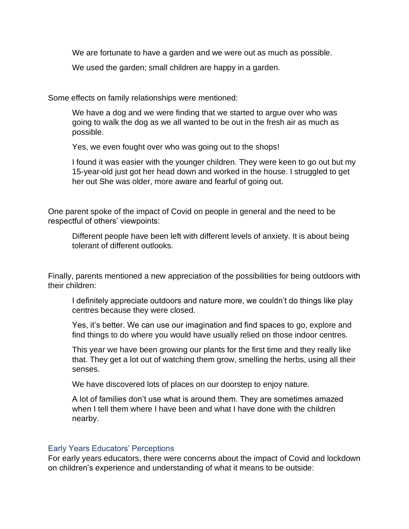We are fortunate to have a garden and we were out as much as possible.

We used the garden; small children are happy in a garden.

Some effects on family relationships were mentioned:

We have a dog and we were finding that we started to argue over who was going to walk the dog as we all wanted to be out in the fresh air as much as possible.

Yes, we even fought over who was going out to the shops!

I found it was easier with the younger children. They were keen to go out but my 15-year-old just got her head down and worked in the house. I struggled to get her out She was older, more aware and fearful of going out.

One parent spoke of the impact of Covid on people in general and the need to be respectful of others' viewpoints:

Different people have been left with different levels of anxiety. It is about being tolerant of different outlooks.

Finally, parents mentioned a new appreciation of the possibilities for being outdoors with their children:

I definitely appreciate outdoors and nature more, we couldn't do things like play centres because they were closed.

Yes, it's better. We can use our imagination and find spaces to go, explore and find things to do where you would have usually relied on those indoor centres.

This year we have been growing our plants for the first time and they really like that. They get a lot out of watching them grow, smelling the herbs, using all their senses.

We have discovered lots of places on our doorstep to enjoy nature.

A lot of families don't use what is around them. They are sometimes amazed when I tell them where I have been and what I have done with the children nearby.

#### <span id="page-33-0"></span>Early Years Educators' Perceptions

For early years educators, there were concerns about the impact of Covid and lockdown on children's experience and understanding of what it means to be outside: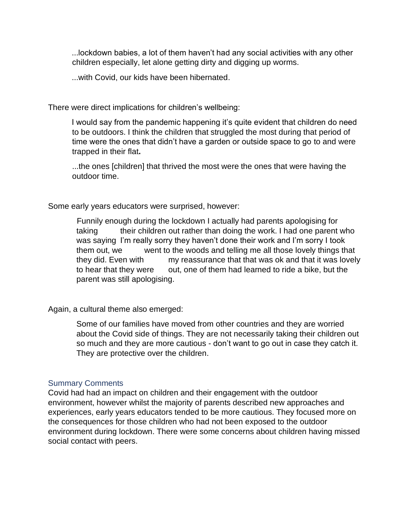...lockdown babies, a lot of them haven't had any social activities with any other children especially, let alone getting dirty and digging up worms.

...with Covid, our kids have been hibernated.

There were direct implications for children's wellbeing:

I would say from the pandemic happening it's quite evident that children do need to be outdoors. I think the children that struggled the most during that period of time were the ones that didn't have a garden or outside space to go to and were trapped in their flat**.** 

...the ones [children] that thrived the most were the ones that were having the outdoor time.

Some early years educators were surprised, however:

Funnily enough during the lockdown I actually had parents apologising for taking their children out rather than doing the work. I had one parent who was saying I'm really sorry they haven't done their work and I'm sorry I took them out, we went to the woods and telling me all those lovely things that they did. Even with my reassurance that that was ok and that it was lovely to hear that they were out, one of them had learned to ride a bike, but the parent was still apologising.

Again, a cultural theme also emerged:

Some of our families have moved from other countries and they are worried about the Covid side of things. They are not necessarily taking their children out so much and they are more cautious - don't want to go out in case they catch it. They are protective over the children.

#### <span id="page-34-0"></span>Summary Comments

Covid had had an impact on children and their engagement with the outdoor environment, however whilst the majority of parents described new approaches and experiences, early years educators tended to be more cautious. They focused more on the consequences for those children who had not been exposed to the outdoor environment during lockdown. There were some concerns about children having missed social contact with peers.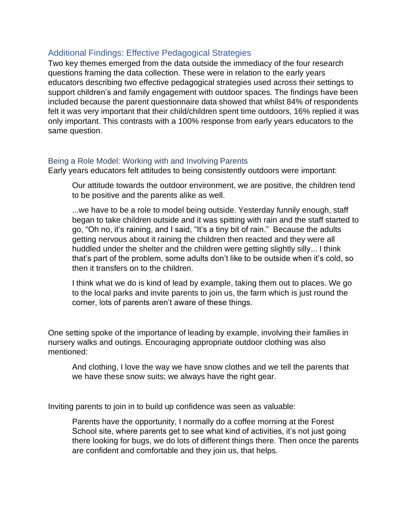# <span id="page-35-0"></span>Additional Findings: Effective Pedagogical Strategies

Two key themes emerged from the data outside the immediacy of the four research questions framing the data collection. These were in relation to the early years educators describing two effective pedagogical strategies used across their settings to support children's and family engagement with outdoor spaces. The findings have been included because the parent questionnaire data showed that whilst 84% of respondents felt it was very important that their child/children spent time outdoors, 16% replied it was only important. This contrasts with a 100% response from early years educators to the same question.

#### <span id="page-35-1"></span>Being a Role Model: Working with and Involving Parents

Early years educators felt attitudes to being consistently outdoors were important:

Our attitude towards the outdoor environment, we are positive, the children tend to be positive and the parents alike as well.

...we have to be a role to model being outside. Yesterday funnily enough, staff began to take children outside and it was spitting with rain and the staff started to go, "Oh no, it's raining, and I said, "It's a tiny bit of rain." Because the adults getting nervous about it raining the children then reacted and they were all huddled under the shelter and the children were getting slightly silly... I think that's part of the problem, some adults don't like to be outside when it's cold, so then it transfers on to the children.

I think what we do is kind of lead by example, taking them out to places. We go to the local parks and invite parents to join us, the farm which is just round the corner, lots of parents aren't aware of these things.

One setting spoke of the importance of leading by example, involving their families in nursery walks and outings. Encouraging appropriate outdoor clothing was also mentioned:

And clothing, I love the way we have snow clothes and we tell the parents that we have these snow suits; we always have the right gear.

Inviting parents to join in to build up confidence was seen as valuable:

Parents have the opportunity, I normally do a coffee morning at the Forest School site, where parents get to see what kind of activities, it's not just going there looking for bugs, we do lots of different things there. Then once the parents are confident and comfortable and they join us, that helps.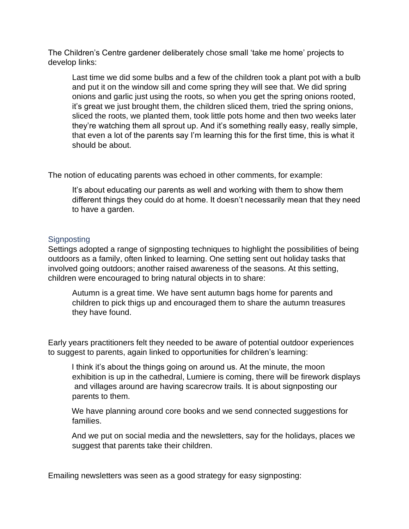The Children's Centre gardener deliberately chose small 'take me home' projects to develop links:

Last time we did some bulbs and a few of the children took a plant pot with a bulb and put it on the window sill and come spring they will see that. We did spring onions and garlic just using the roots, so when you get the spring onions rooted, it's great we just brought them, the children sliced them, tried the spring onions, sliced the roots, we planted them, took little pots home and then two weeks later they're watching them all sprout up. And it's something really easy, really simple, that even a lot of the parents say I'm learning this for the first time, this is what it should be about.

The notion of educating parents was echoed in other comments, for example:

It's about educating our parents as well and working with them to show them different things they could do at home. It doesn't necessarily mean that they need to have a garden.

#### <span id="page-36-0"></span>**Signposting**

Settings adopted a range of signposting techniques to highlight the possibilities of being outdoors as a family, often linked to learning. One setting sent out holiday tasks that involved going outdoors; another raised awareness of the seasons. At this setting, children were encouraged to bring natural objects in to share:

Autumn is a great time. We have sent autumn bags home for parents and children to pick thigs up and encouraged them to share the autumn treasures they have found.

Early years practitioners felt they needed to be aware of potential outdoor experiences to suggest to parents, again linked to opportunities for children's learning:

I think it's about the things going on around us. At the minute, the moon exhibition is up in the cathedral, Lumiere is coming, there will be firework displays and villages around are having scarecrow trails. It is about signposting our parents to them.

We have planning around core books and we send connected suggestions for families.

And we put on social media and the newsletters, say for the holidays, places we suggest that parents take their children.

Emailing newsletters was seen as a good strategy for easy signposting: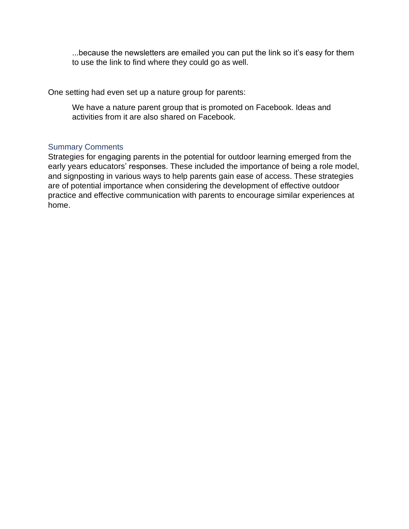...because the newsletters are emailed you can put the link so it's easy for them to use the link to find where they could go as well.

One setting had even set up a nature group for parents:

We have a nature parent group that is promoted on Facebook. Ideas and activities from it are also shared on Facebook.

#### <span id="page-37-0"></span>Summary Comments

Strategies for engaging parents in the potential for outdoor learning emerged from the early years educators' responses. These included the importance of being a role model, and signposting in various ways to help parents gain ease of access. These strategies are of potential importance when considering the development of effective outdoor practice and effective communication with parents to encourage similar experiences at home.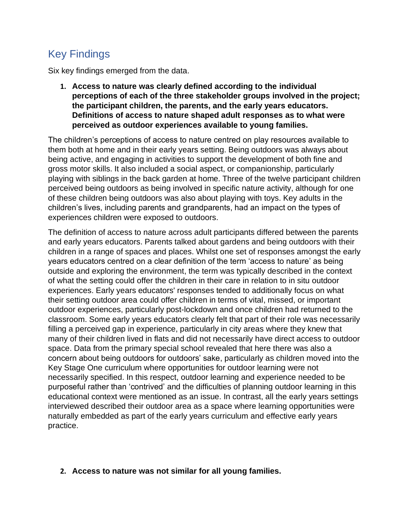# <span id="page-38-0"></span>Key Findings

Six key findings emerged from the data.

**1. Access to nature was clearly defined according to the individual perceptions of each of the three stakeholder groups involved in the project; the participant children, the parents, and the early years educators. Definitions of access to nature shaped adult responses as to what were perceived as outdoor experiences available to young families.**

The children's perceptions of access to nature centred on play resources available to them both at home and in their early years setting. Being outdoors was always about being active, and engaging in activities to support the development of both fine and gross motor skills. It also included a social aspect, or companionship, particularly playing with siblings in the back garden at home. Three of the twelve participant children perceived being outdoors as being involved in specific nature activity, although for one of these children being outdoors was also about playing with toys. Key adults in the children's lives, including parents and grandparents, had an impact on the types of experiences children were exposed to outdoors.

The definition of access to nature across adult participants differed between the parents and early years educators. Parents talked about gardens and being outdoors with their children in a range of spaces and places. Whilst one set of responses amongst the early years educators centred on a clear definition of the term 'access to nature' as being outside and exploring the environment, the term was typically described in the context of what the setting could offer the children in their care in relation to in situ outdoor experiences. Early years educators' responses tended to additionally focus on what their setting outdoor area could offer children in terms of vital, missed, or important outdoor experiences, particularly post-lockdown and once children had returned to the classroom. Some early years educators clearly felt that part of their role was necessarily filling a perceived gap in experience, particularly in city areas where they knew that many of their children lived in flats and did not necessarily have direct access to outdoor space. Data from the primary special school revealed that here there was also a concern about being outdoors for outdoors' sake, particularly as children moved into the Key Stage One curriculum where opportunities for outdoor learning were not necessarily specified. In this respect, outdoor learning and experience needed to be purposeful rather than 'contrived' and the difficulties of planning outdoor learning in this educational context were mentioned as an issue. In contrast, all the early years settings interviewed described their outdoor area as a space where learning opportunities were naturally embedded as part of the early years curriculum and effective early years practice.

# **2. Access to nature was not similar for all young families.**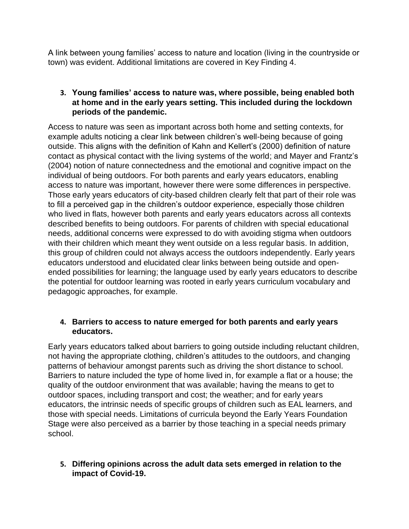A link between young families' access to nature and location (living in the countryside or town) was evident. Additional limitations are covered in Key Finding 4.

# **3. Young families' access to nature was, where possible, being enabled both at home and in the early years setting. This included during the lockdown periods of the pandemic.**

Access to nature was seen as important across both home and setting contexts, for example adults noticing a clear link between children's well-being because of going outside. This aligns with the definition of Kahn and Kellert's (2000) definition of nature contact as physical contact with the living systems of the world; and Mayer and Frantz's (2004) notion of nature connectedness and the emotional and cognitive impact on the individual of being outdoors. For both parents and early years educators, enabling access to nature was important, however there were some differences in perspective. Those early years educators of city-based children clearly felt that part of their role was to fill a perceived gap in the children's outdoor experience, especially those children who lived in flats, however both parents and early years educators across all contexts described benefits to being outdoors. For parents of children with special educational needs, additional concerns were expressed to do with avoiding stigma when outdoors with their children which meant they went outside on a less regular basis. In addition, this group of children could not always access the outdoors independently. Early years educators understood and elucidated clear links between being outside and openended possibilities for learning; the language used by early years educators to describe the potential for outdoor learning was rooted in early years curriculum vocabulary and pedagogic approaches, for example.

# **4. Barriers to access to nature emerged for both parents and early years educators.**

Early years educators talked about barriers to going outside including reluctant children, not having the appropriate clothing, children's attitudes to the outdoors, and changing patterns of behaviour amongst parents such as driving the short distance to school. Barriers to nature included the type of home lived in, for example a flat or a house; the quality of the outdoor environment that was available; having the means to get to outdoor spaces, including transport and cost; the weather; and for early years educators, the intrinsic needs of specific groups of children such as EAL learners, and those with special needs. Limitations of curricula beyond the Early Years Foundation Stage were also perceived as a barrier by those teaching in a special needs primary school.

# **5. Differing opinions across the adult data sets emerged in relation to the impact of Covid-19.**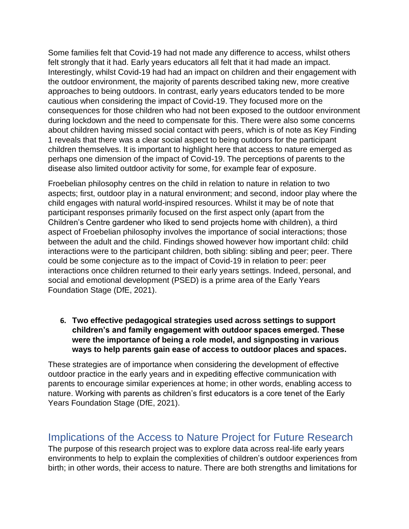Some families felt that Covid-19 had not made any difference to access, whilst others felt strongly that it had. Early years educators all felt that it had made an impact. Interestingly, whilst Covid-19 had had an impact on children and their engagement with the outdoor environment, the majority of parents described taking new, more creative approaches to being outdoors. In contrast, early years educators tended to be more cautious when considering the impact of Covid-19. They focused more on the consequences for those children who had not been exposed to the outdoor environment during lockdown and the need to compensate for this. There were also some concerns about children having missed social contact with peers, which is of note as Key Finding 1 reveals that there was a clear social aspect to being outdoors for the participant children themselves. It is important to highlight here that access to nature emerged as perhaps one dimension of the impact of Covid-19. The perceptions of parents to the disease also limited outdoor activity for some, for example fear of exposure.

Froebelian philosophy centres on the child in relation to nature in relation to two aspects; first, outdoor play in a natural environment; and second, indoor play where the child engages with natural world-inspired resources. Whilst it may be of note that participant responses primarily focused on the first aspect only (apart from the Children's Centre gardener who liked to send projects home with children), a third aspect of Froebelian philosophy involves the importance of social interactions; those between the adult and the child. Findings showed however how important child: child interactions were to the participant children, both sibling: sibling and peer; peer. There could be some conjecture as to the impact of Covid-19 in relation to peer: peer interactions once children returned to their early years settings. Indeed, personal, and social and emotional development (PSED) is a prime area of the Early Years Foundation Stage (DfE, 2021).

**6. Two effective pedagogical strategies used across settings to support children's and family engagement with outdoor spaces emerged. These were the importance of being a role model, and signposting in various ways to help parents gain ease of access to outdoor places and spaces.** 

These strategies are of importance when considering the development of effective outdoor practice in the early years and in expediting effective communication with parents to encourage similar experiences at home; in other words, enabling access to nature. Working with parents as children's first educators is a core tenet of the Early Years Foundation Stage (DfE, 2021).

# <span id="page-40-0"></span>Implications of the Access to Nature Project for Future Research

The purpose of this research project was to explore data across real-life early years environments to help to explain the complexities of children's outdoor experiences from birth; in other words, their access to nature. There are both strengths and limitations for